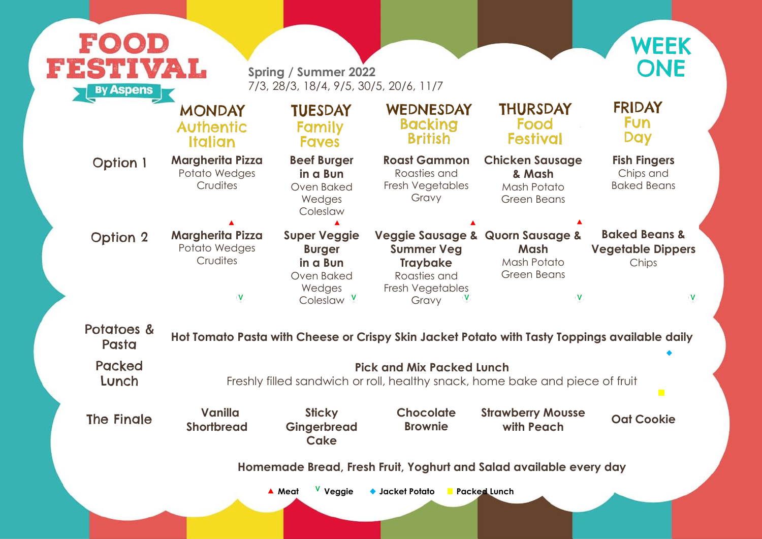**Fish Fingers** Chips and Baked Beans

**Strawberry Mousse Oat Cookie** 

every day

**Quorn Sausage & Baked Beans & Vegetable Dippers** Chips

 $\bar{\mathbf{V}}$  $\mathbf V$ 

p<mark>pings available daily</mark>

 $\overline{\phantom{a}}$ 

biece of fruit

| FOOD                                                          |                                                                                                       |                                                                                                   |                                                                                                                       |                                                                       |  |  |
|---------------------------------------------------------------|-------------------------------------------------------------------------------------------------------|---------------------------------------------------------------------------------------------------|-----------------------------------------------------------------------------------------------------------------------|-----------------------------------------------------------------------|--|--|
| FESTIVAL<br><b>By Aspens</b>                                  |                                                                                                       | <b>Spring / Summer 2022</b><br>7/3, 28/3, 18/4, 9/5, 30/5, 20/6, 11/7                             |                                                                                                                       |                                                                       |  |  |
|                                                               | <b>MONDAY</b><br><b>Authentic</b><br><b>Italian</b>                                                   | <b>TUESDAY</b><br><b>Family</b><br><b>Faves</b>                                                   | WEDNESDAY<br><b>Backing</b><br><b>British</b>                                                                         | <b>THURSDAY</b><br>Food<br><b>Festival</b>                            |  |  |
| <b>Option 1</b>                                               | <b>Margherita Pizza</b><br>Potato Wedges<br>Crudites                                                  | <b>Beef Burger</b><br>in a Bun<br>Oven Baked<br>Wedges<br>Coleslaw                                | <b>Roast Gammon</b><br>Roasties and<br>Fresh Vegetables<br>Gravy                                                      | <b>Chicken Sausage</b><br>& Mash<br>Mash Potato<br><b>Green Beans</b> |  |  |
| <b>Option 2</b>                                               | <b>Margherita Pizza</b><br>Potato Wedges<br>Crudites<br>V                                             | <b>Super Veggie</b><br><b>Burger</b><br>in a Bun<br>Oven Baked<br>Wedges<br>Coleslaw <sup>V</sup> | Veggie Sausage & Quorn Sausage &<br><b>Summer Veg</b><br><b>Traybake</b><br>Roasties and<br>Fresh Vegetables<br>Gravy | Mash<br>Mash Potato<br><b>Green Beans</b>                             |  |  |
| Potatoes &<br>Pasta                                           |                                                                                                       |                                                                                                   | Hot Tomato Pasta with Cheese or Crispy Skin Jacket Potato with Tasty Toppi                                            |                                                                       |  |  |
| <b>Packed</b><br>Lunch                                        | <b>Pick and Mix Packed Lunch</b><br>Freshly filled sandwich or roll, healthy snack, home bake and pie |                                                                                                   |                                                                                                                       |                                                                       |  |  |
| <b>The Finale</b>                                             | <b>Vanilla</b><br><b>Shortbread</b>                                                                   | <b>Sticky</b><br><b>Gingerbread</b><br><b>Cake</b>                                                | <b>Chocolate</b><br><b>Brownie</b>                                                                                    | <b>Strawberry Mousse</b><br>with Peach                                |  |  |
| Homemade Bread, Fresh Fruit, Yoghurt and Salad available ever |                                                                                                       |                                                                                                   |                                                                                                                       |                                                                       |  |  |
|                                                               |                                                                                                       | V Veggie<br>▲ Meat                                                                                | ◆ Jacket Potato                                                                                                       | Packed Lunch                                                          |  |  |



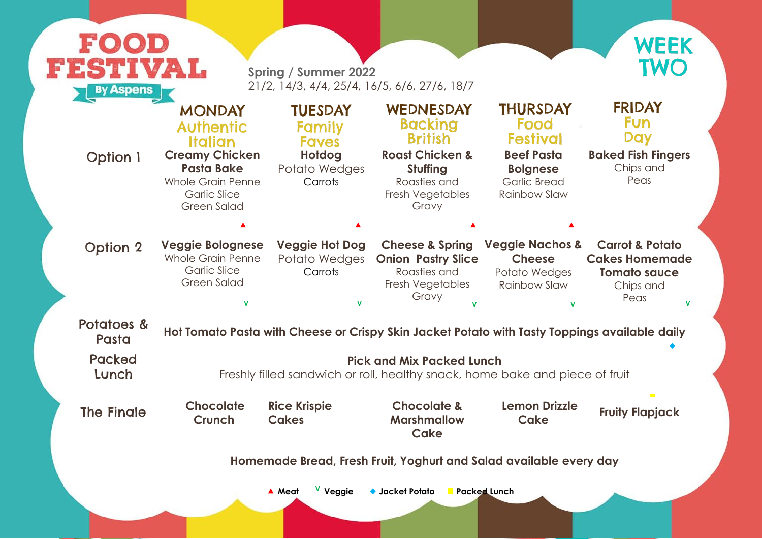

| FOOD<br><b>ESTIVAL</b><br><b>By Aspens</b>                                                                                                                                                                                                                |                                                                                                                                                                            | <b>Spring / Summer 2022</b>                                                                  | 21/2, 14/3, 4/4, 25/4, 16/5, 6/6, 27/6, 18/7                                                                                         |                                                                                                                                  | WEEK<br><b>TWO</b>                                                                              |  |
|-----------------------------------------------------------------------------------------------------------------------------------------------------------------------------------------------------------------------------------------------------------|----------------------------------------------------------------------------------------------------------------------------------------------------------------------------|----------------------------------------------------------------------------------------------|--------------------------------------------------------------------------------------------------------------------------------------|----------------------------------------------------------------------------------------------------------------------------------|-------------------------------------------------------------------------------------------------|--|
| <b>Option 1</b>                                                                                                                                                                                                                                           | <b>MONDAY</b><br><b>Authentic</b><br><b>Italian</b><br><b>Creamy Chicken</b><br><b>Pasta Bake</b><br><b>Whole Grain Penne</b><br><b>Garlic Slice</b><br><b>Green Salad</b> | <b>TUESDAY</b><br><b>Family</b><br><b>Faves</b><br><b>Hotdog</b><br>Potato Wedges<br>Carrots | WEDNESDAY<br><b>Backing</b><br><b>British</b><br><b>Roast Chicken &amp;</b><br>Stuffing<br>Roasties and<br>Fresh Vegetables<br>Gravy | <b>THURSDAY</b><br>Food<br><b>Festival</b><br><b>Beef Pasta</b><br><b>Bolgnese</b><br><b>Garlic Bread</b><br><b>Rainbow Slaw</b> | <b>FRIDAY</b><br><b>Fun</b><br><b>Day</b><br><b>Baked Fish Fingers</b><br>Chips and<br>Peas     |  |
| <b>Option 2</b>                                                                                                                                                                                                                                           | <b>Veggie Bolognese</b><br><b>Whole Grain Penne</b><br><b>Garlic Slice</b><br><b>Green Salad</b><br>V                                                                      | <b>Veggie Hot Dog</b><br>Potato Wedges<br>Carrots<br>V                                       | <b>Cheese &amp; Spring</b><br><b>Onion Pastry Slice</b><br>Roasties and<br>Fresh Vegetables<br>Gravy                                 | <b>Veggie Nachos &amp;</b><br><b>Cheese</b><br>Potato Wedges<br><b>Rainbow Slaw</b>                                              | <b>Carrot &amp; Potato</b><br><b>Cakes Homemade</b><br><b>Tomato sauce</b><br>Chips and<br>Peas |  |
| Potatoes &<br>Hot Tomato Pasta with Cheese or Crispy Skin Jacket Potato with Tasty Toppings available daily<br>Pasta<br><b>Packed</b><br><b>Pick and Mix Packed Lunch</b><br>Freshly filled sandwich or roll, healthy snack, home bake and piece of fruit |                                                                                                                                                                            |                                                                                              |                                                                                                                                      |                                                                                                                                  |                                                                                                 |  |
| Lunch<br>The Fingle                                                                                                                                                                                                                                       | <b>Chocolate</b><br><b>Crunch</b>                                                                                                                                          | <b>Rice Krispie</b><br><b>Cakes</b>                                                          | <b>Chocolate &amp;</b><br><b>Marshmallow</b><br>Cake                                                                                 | Lemon Drizzle<br>Cake                                                                                                            | <b>The Co</b><br><b>Fruity Flapjack</b>                                                         |  |
|                                                                                                                                                                                                                                                           |                                                                                                                                                                            | ▲ Meat<br>V Veggie                                                                           | Homemade Bread, Fresh Fruit, Yoghurt and Salad available every day<br>$\blacklozenge$ Jacket Potato<br><b>Packed Lunch</b>           |                                                                                                                                  |                                                                                                 |  |